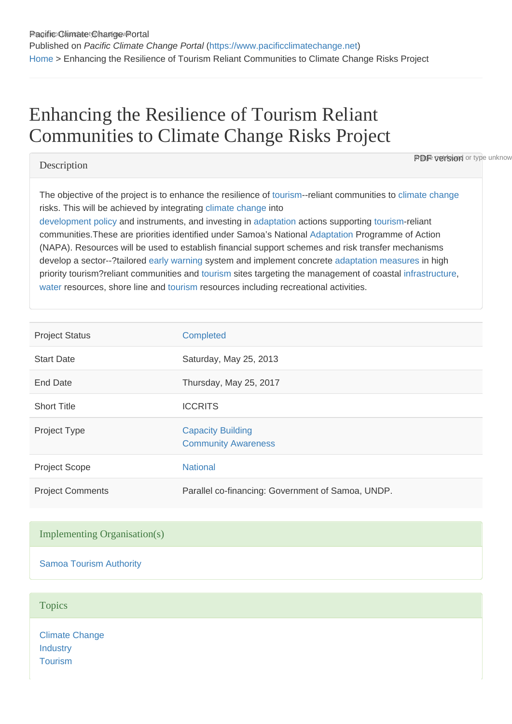# Enhancing the Resilience of Tourism Reliant Communities to Climate Change Risks Project

# **Description**

**PDF version** or type unknow

The objective of the project is to enhance the resilience of [tourism](https://www.pacificclimatechange.net/glossary/letter_t#Tourism)--reliant communities to [climate change](https://www.pacificclimatechange.net/glossary/letter_c#Climate_Change) risks. This will be achieved by integrating [climate change](https://www.pacificclimatechange.net/glossary/letter_c#Climate_Change) into

[development](https://www.pacificclimatechange.net/glossary/letter_d#Development) [policy](https://www.pacificclimatechange.net/glossary/letter_p#Policy) and instruments, and investing in [adaptation](https://www.pacificclimatechange.net/glossary/letter_a#Adaptation) actions supporting [tourism-](https://www.pacificclimatechange.net/glossary/letter_t#Tourism)reliant communities.These are priorities identified under Samoa's National [Adaptation](https://www.pacificclimatechange.net/glossary/letter_a#Adaptation) Programme of Action (NAPA). Resources will be used to establish financial support schemes and risk transfer mechanisms develop a sector--?tailored [early warning](https://www.pacificclimatechange.net/glossary/letter_e#Early_Warning) system and implement concrete [adaptation](https://www.pacificclimatechange.net/glossary/letter_a#Adaptation) [measures](https://www.pacificclimatechange.net/glossary/letter_m#Measures) in high priority tourism?reliant communities and [tourism](https://www.pacificclimatechange.net/glossary/letter_t#Tourism) sites targeting the management of coastal [infrastructure,](https://www.pacificclimatechange.net/glossary/letter_i#Infrastructure) [water](https://www.pacificclimatechange.net/glossary/letter_w#Water) resources, shore line and [tourism](https://www.pacificclimatechange.net/glossary/letter_t#Tourism) resources including recreational activities.

| <b>Project Status</b>   | <b>Completed</b>                                       |
|-------------------------|--------------------------------------------------------|
| <b>Start Date</b>       | Saturday, May 25, 2013                                 |
| <b>End Date</b>         | Thursday, May 25, 2017                                 |
| <b>Short Title</b>      | <b>ICCRITS</b>                                         |
| Project Type            | <b>Capacity Building</b><br><b>Community Awareness</b> |
| <b>Project Scope</b>    | <b>National</b>                                        |
| <b>Project Comments</b> | Parallel co-financing: Government of Samoa, UNDP.      |

# Implementing Organisation(s)

[Samoa Tourism Authority](https://www.pacificclimatechange.net/node/23921)

#### **Topics**

[Climate Change](https://www.pacificclimatechange.net/projects?f[0]=field_topics:2) **[Industry](https://www.pacificclimatechange.net/projects?f[0]=field_topics:12) [Tourism](https://www.pacificclimatechange.net/projects?f[0]=field_topics:234)**